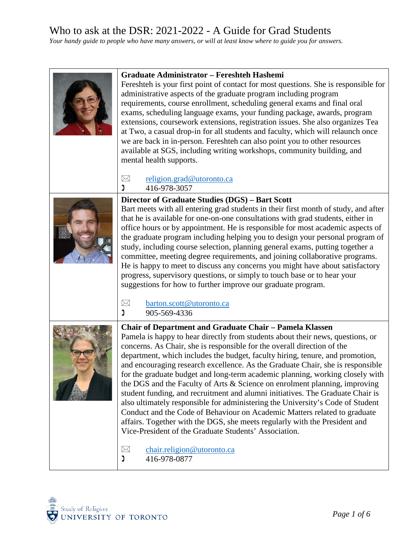| <b>Graduate Administrator - Fereshteh Hashemi</b><br>Fereshteh is your first point of contact for most questions. She is responsible for<br>administrative aspects of the graduate program including program<br>requirements, course enrollment, scheduling general exams and final oral<br>exams, scheduling language exams, your funding package, awards, program<br>extensions, coursework extensions, registration issues. She also organizes Tea<br>at Two, a casual drop-in for all students and faculty, which will relaunch once<br>we are back in in-person. Fereshteh can also point you to other resources<br>available at SGS, including writing workshops, community building, and<br>mental health supports.                                                                                                                                                                                                                            |
|-------------------------------------------------------------------------------------------------------------------------------------------------------------------------------------------------------------------------------------------------------------------------------------------------------------------------------------------------------------------------------------------------------------------------------------------------------------------------------------------------------------------------------------------------------------------------------------------------------------------------------------------------------------------------------------------------------------------------------------------------------------------------------------------------------------------------------------------------------------------------------------------------------------------------------------------------------|
| religion.grad@utoronto.ca<br>$\boxtimes$<br>416-978-3057<br>Ľ                                                                                                                                                                                                                                                                                                                                                                                                                                                                                                                                                                                                                                                                                                                                                                                                                                                                                         |
| Director of Graduate Studies (DGS) - Bart Scott<br>Bart meets with all entering grad students in their first month of study, and after<br>that he is available for one-on-one consultations with grad students, either in<br>office hours or by appointment. He is responsible for most academic aspects of<br>the graduate program including helping you to design your personal program of<br>study, including course selection, planning general exams, putting together a<br>committee, meeting degree requirements, and joining collaborative programs.<br>He is happy to meet to discuss any concerns you might have about satisfactory<br>progress, supervisory questions, or simply to touch base or to hear your<br>suggestions for how to further improve our graduate program.                                                                                                                                                             |
| barton.scott@utoronto.ca<br>$\bowtie$<br>Ľ<br>905-569-4336                                                                                                                                                                                                                                                                                                                                                                                                                                                                                                                                                                                                                                                                                                                                                                                                                                                                                            |
| <b>Chair of Department and Graduate Chair - Pamela Klassen</b><br>Pamela is happy to hear directly from students about their news, questions, or<br>concerns. As Chair, she is responsible for the overall direction of the<br>department, which includes the budget, faculty hiring, tenure, and promotion,<br>and encouraging research excellence. As the Graduate Chair, she is responsible<br>for the graduate budget and long-term academic planning, working closely with<br>the DGS and the Faculty of Arts & Science on enrolment planning, improving<br>student funding, and recruitment and alumni initiatives. The Graduate Chair is<br>also ultimately responsible for administering the University's Code of Student<br>Conduct and the Code of Behaviour on Academic Matters related to graduate<br>affairs. Together with the DGS, she meets regularly with the President and<br>Vice-President of the Graduate Students' Association. |
| chair.religion@utoronto.ca<br>$\boxtimes$<br>416-978-0877<br>J                                                                                                                                                                                                                                                                                                                                                                                                                                                                                                                                                                                                                                                                                                                                                                                                                                                                                        |

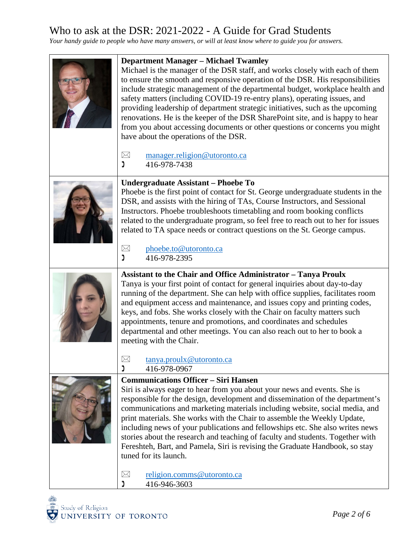| <b>Department Manager - Michael Twamley</b><br>Michael is the manager of the DSR staff, and works closely with each of them<br>to ensure the smooth and responsive operation of the DSR. His responsibilities<br>include strategic management of the departmental budget, workplace health and<br>safety matters (including COVID-19 re-entry plans), operating issues, and<br>providing leadership of department strategic initiatives, such as the upcoming<br>renovations. He is the keeper of the DSR SharePoint site, and is happy to hear<br>from you about accessing documents or other questions or concerns you might<br>have about the operations of the DSR.<br>$\boxtimes$<br>manager.religion@utoronto.ca<br>נ<br>416-978-7438 |
|---------------------------------------------------------------------------------------------------------------------------------------------------------------------------------------------------------------------------------------------------------------------------------------------------------------------------------------------------------------------------------------------------------------------------------------------------------------------------------------------------------------------------------------------------------------------------------------------------------------------------------------------------------------------------------------------------------------------------------------------|
| Undergraduate Assistant - Phoebe To<br>Phoebe is the first point of contact for St. George undergraduate students in the<br>DSR, and assists with the hiring of TAs, Course Instructors, and Sessional<br>Instructors. Phoebe troubleshoots timetabling and room booking conflicts<br>related to the undergraduate program, so feel free to reach out to her for issues<br>related to TA space needs or contract questions on the St. George campus.<br>phoebe.to@utoronto.ca<br>$\boxtimes$<br>ຶ່ງ<br>416-978-2395                                                                                                                                                                                                                         |
| <b>Assistant to the Chair and Office Administrator - Tanya Proulx</b><br>Tanya is your first point of contact for general inquiries about day-to-day<br>running of the department. She can help with office supplies, facilitates room<br>and equipment access and maintenance, and issues copy and printing codes,<br>keys, and fobs. She works closely with the Chair on faculty matters such<br>appointments, tenure and promotions, and coordinates and schedules<br>departmental and other meetings. You can also reach out to her to book a<br>meeting with the Chair.<br>$\boxtimes$<br>tanya.proulx@utoronto.ca                                                                                                                     |
| ງ<br>416-978-0967<br><b>Communications Officer – Siri Hansen</b><br>Siri is always eager to hear from you about your news and events. She is<br>responsible for the design, development and dissemination of the department's<br>communications and marketing materials including website, social media, and<br>print materials. She works with the Chair to assemble the Weekly Update,<br>including news of your publications and fellowships etc. She also writes news<br>stories about the research and teaching of faculty and students. Together with<br>Fereshteh, Bart, and Pamela, Siri is revising the Graduate Handbook, so stay<br>tuned for its launch.<br>religion.comms@utoronto.ca<br>$\boxtimes$<br>416-946-3603           |

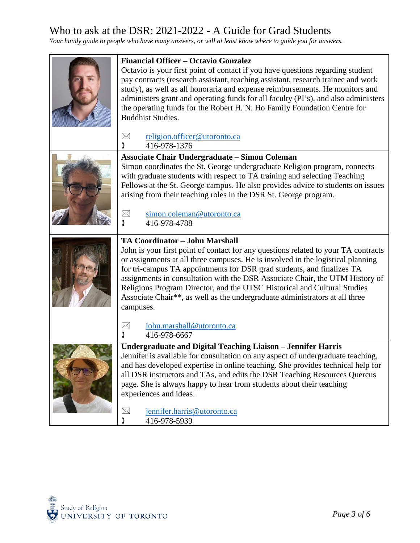| <b>Financial Officer - Octavio Gonzalez</b><br>Octavio is your first point of contact if you have questions regarding student<br>pay contracts (research assistant, teaching assistant, research trainee and work<br>study), as well as all honoraria and expense reimbursements. He monitors and<br>administers grant and operating funds for all faculty (PI's), and also administers<br>the operating funds for the Robert H. N. Ho Family Foundation Centre for<br><b>Buddhist Studies.</b>                                                  |
|--------------------------------------------------------------------------------------------------------------------------------------------------------------------------------------------------------------------------------------------------------------------------------------------------------------------------------------------------------------------------------------------------------------------------------------------------------------------------------------------------------------------------------------------------|
| $\times$<br>religion.officer@utoronto.ca<br>416-978-1376<br>Ľ                                                                                                                                                                                                                                                                                                                                                                                                                                                                                    |
| <b>Associate Chair Undergraduate – Simon Coleman</b><br>Simon coordinates the St. George undergraduate Religion program, connects<br>with graduate students with respect to TA training and selecting Teaching<br>Fellows at the St. George campus. He also provides advice to students on issues<br>arising from their teaching roles in the DSR St. George program.<br>$\boxtimes$<br>simon.coleman@utoronto.ca                                                                                                                                |
| 416-978-4788<br>Ľ                                                                                                                                                                                                                                                                                                                                                                                                                                                                                                                                |
| <b>TA Coordinator - John Marshall</b><br>John is your first point of contact for any questions related to your TA contracts<br>or assignments at all three campuses. He is involved in the logistical planning<br>for tri-campus TA appointments for DSR grad students, and finalizes TA<br>assignments in consultation with the DSR Associate Chair, the UTM History of<br>Religions Program Director, and the UTSC Historical and Cultural Studies<br>Associate Chair**, as well as the undergraduate administrators at all three<br>campuses. |
| $\boxtimes$<br>john.marshall@utoronto.ca<br>416-978-6667<br>Ľ                                                                                                                                                                                                                                                                                                                                                                                                                                                                                    |
| <b>Undergraduate and Digital Teaching Liaison - Jennifer Harris</b><br>Jennifer is available for consultation on any aspect of undergraduate teaching,<br>and has developed expertise in online teaching. She provides technical help for<br>all DSR instructors and TAs, and edits the DSR Teaching Resources Quercus<br>page. She is always happy to hear from students about their teaching<br>experiences and ideas.                                                                                                                         |
| jennifer.harris@utoronto.ca<br>$\boxtimes$<br>J<br>416-978-5939                                                                                                                                                                                                                                                                                                                                                                                                                                                                                  |

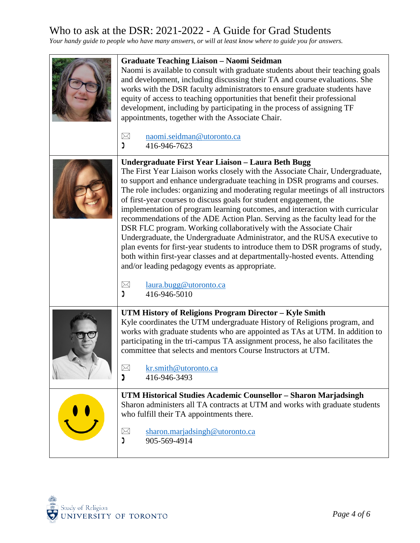| <b>Graduate Teaching Liaison - Naomi Seidman</b><br>Naomi is available to consult with graduate students about their teaching goals<br>and development, including discussing their TA and course evaluations. She<br>works with the DSR faculty administrators to ensure graduate students have<br>equity of access to teaching opportunities that benefit their professional<br>development, including by participating in the process of assigning TF<br>appointments, together with the Associate Chair.                                                                                                                                                                                                                                                                                                                                                                                                                                                 |
|-------------------------------------------------------------------------------------------------------------------------------------------------------------------------------------------------------------------------------------------------------------------------------------------------------------------------------------------------------------------------------------------------------------------------------------------------------------------------------------------------------------------------------------------------------------------------------------------------------------------------------------------------------------------------------------------------------------------------------------------------------------------------------------------------------------------------------------------------------------------------------------------------------------------------------------------------------------|
| naomi.seidman@utoronto.ca<br>$\boxtimes$<br>ງ<br>416-946-7623                                                                                                                                                                                                                                                                                                                                                                                                                                                                                                                                                                                                                                                                                                                                                                                                                                                                                               |
| Undergraduate First Year Liaison - Laura Beth Bugg<br>The First Year Liaison works closely with the Associate Chair, Undergraduate,<br>to support and enhance undergraduate teaching in DSR programs and courses.<br>The role includes: organizing and moderating regular meetings of all instructors<br>of first-year courses to discuss goals for student engagement, the<br>implementation of program learning outcomes, and interaction with curricular<br>recommendations of the ADE Action Plan. Serving as the faculty lead for the<br>DSR FLC program. Working collaboratively with the Associate Chair<br>Undergraduate, the Undergraduate Administrator, and the RUSA executive to<br>plan events for first-year students to introduce them to DSR programs of study,<br>both within first-year classes and at departmentally-hosted events. Attending<br>and/or leading pedagogy events as appropriate.<br>$\boxtimes$<br>laura.bugg@utoronto.ca |
| ງ<br>416-946-5010                                                                                                                                                                                                                                                                                                                                                                                                                                                                                                                                                                                                                                                                                                                                                                                                                                                                                                                                           |
| UTM History of Religions Program Director - Kyle Smith<br>Kyle coordinates the UTM undergraduate History of Religions program, and<br>works with graduate students who are appointed as TAs at UTM. In addition to<br>participating in the tri-campus TA assignment process, he also facilitates the<br>committee that selects and mentors Course Instructors at UTM.<br>kr.smith@utoronto.ca<br>$\bowtie$                                                                                                                                                                                                                                                                                                                                                                                                                                                                                                                                                  |
| 416-946-3493<br>נ                                                                                                                                                                                                                                                                                                                                                                                                                                                                                                                                                                                                                                                                                                                                                                                                                                                                                                                                           |
| UTM Historical Studies Academic Counsellor - Sharon Marjadsingh<br>Sharon administers all TA contracts at UTM and works with graduate students<br>who fulfill their TA appointments there.                                                                                                                                                                                                                                                                                                                                                                                                                                                                                                                                                                                                                                                                                                                                                                  |
| $\boxtimes$<br>sharon.marjadsingh@utoronto.ca<br>J<br>905-569-4914                                                                                                                                                                                                                                                                                                                                                                                                                                                                                                                                                                                                                                                                                                                                                                                                                                                                                          |

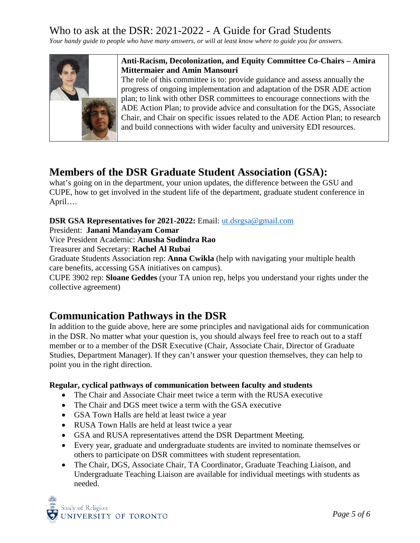*Your handy guide to people who have many answers, or will at least know where to guide you for answers.*



### **Anti-Racism, Decolonization, and Equity Committee Co-Chairs – Amira Mittermaier and Amin Mansouri**

The role of this committee is to: provide guidance and assess annually the progress of ongoing implementation and adaptation of the DSR ADE action plan; to link with other DSR committees to encourage connections with the ADE Action Plan; to provide advice and consultation for the DGS, Associate Chair, and Chair on specific issues related to the ADE Action Plan; to research and build connections with wider faculty and university EDI resources.

## **Members of the DSR Graduate Student Association (GSA):**

what's going on in the department, your union updates, the difference between the GSU and CUPE, how to get involved in the student life of the department, graduate student conference in April….

### **DSR GSA Representatives for 2021-2022:** Email: [ut.dsrgsa@gmail.com](mailto:ut.dsrgsa@gmail.com)

President: **Janani Mandayam Comar**

Vice President Academic: **Anusha Sudindra Rao**

Treasurer and Secretary: **Rachel Al Rubai**

Graduate Students Association rep: **Anna Cwikla** (help with navigating your multiple health care benefits, accessing GSA initiatives on campus).

CUPE 3902 rep: **Sloane Geddes** (your TA union rep, helps you understand your rights under the collective agreement)

## **Communication Pathways in the DSR**

In addition to the guide above, here are some principles and navigational aids for communication in the DSR. No matter what your question is, you should always feel free to reach out to a staff member or to a member of the DSR Executive (Chair, Associate Chair, Director of Graduate Studies, Department Manager). If they can't answer your question themselves, they can help to point you in the right direction.

### **Regular, cyclical pathways of communication between faculty and students**

- The Chair and Associate Chair meet twice a term with the RUSA executive
- The Chair and DGS meet twice a term with the GSA executive
- GSA Town Halls are held at least twice a year
- RUSA Town Halls are held at least twice a year
- GSA and RUSA representatives attend the DSR Department Meeting.
- Every year, graduate and undergraduate students are invited to nominate themselves or others to participate on DSR committees with student representation.
- The Chair, DGS, Associate Chair, TA Coordinator, Graduate Teaching Liaison, and Undergraduate Teaching Liaison are available for individual meetings with students as needed.